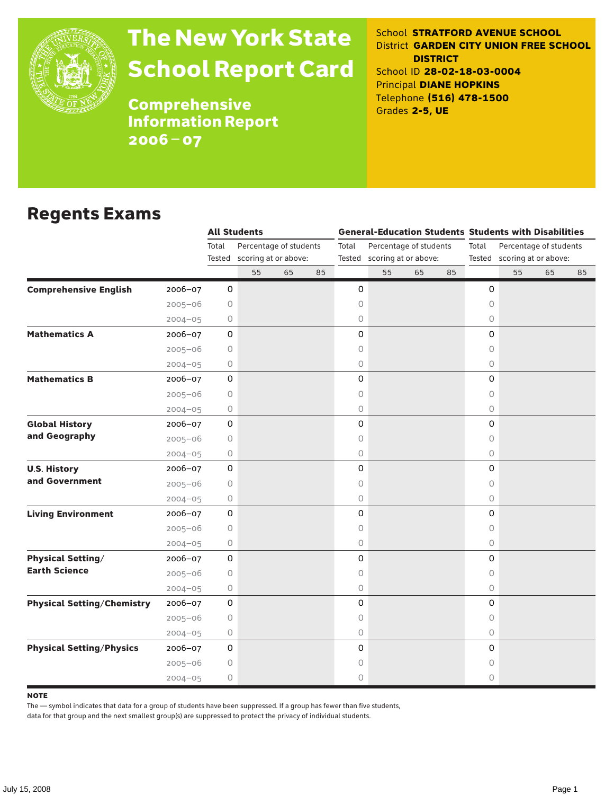

# The New York State School Report Card

School **STRATFORD AVENUE SCHOOL** District **GARDEN CITY UNION FREE SCHOOL DISTRICT** School ID **28-02-18-03-0004** Principal **DIANE HOPKINS** Telephone **(516) 478-1500** Grades **2-5, UE**

**Comprehensive** Information Report 2006–07

### Regents Exams

|                                                  |                     | <b>All Students</b>    |                             |    |                                 |                             |    |    | <b>General-Education Students Students with Disabilities</b> |                             |    |    |  |
|--------------------------------------------------|---------------------|------------------------|-----------------------------|----|---------------------------------|-----------------------------|----|----|--------------------------------------------------------------|-----------------------------|----|----|--|
|                                                  | Total               | Percentage of students |                             |    | Percentage of students<br>Total |                             |    |    | Total                                                        | Percentage of students      |    |    |  |
|                                                  |                     |                        | Tested scoring at or above: |    |                                 | Tested scoring at or above: |    |    |                                                              | Tested scoring at or above: |    |    |  |
|                                                  |                     | 55                     | 65                          | 85 |                                 | 55                          | 65 | 85 |                                                              | 55                          | 65 | 85 |  |
| <b>Comprehensive English</b><br>$2006 - 07$      | 0                   |                        |                             |    | 0                               |                             |    |    | 0                                                            |                             |    |    |  |
| $2005 - 06$                                      | 0                   |                        |                             |    | 0                               |                             |    |    | $\Omega$                                                     |                             |    |    |  |
| $2004 - 05$                                      | 0                   |                        |                             |    | 0                               |                             |    |    | 0                                                            |                             |    |    |  |
| <b>Mathematics A</b><br>$2006 - 07$              | $\mathsf{O}\xspace$ |                        |                             |    | 0                               |                             |    |    | 0                                                            |                             |    |    |  |
| $2005 - 06$                                      | 0                   |                        |                             |    | 0                               |                             |    |    | $\Omega$                                                     |                             |    |    |  |
| $2004 - 05$                                      | 0                   |                        |                             |    | 0                               |                             |    |    | 0                                                            |                             |    |    |  |
| <b>Mathematics B</b><br>2006-07                  | $\mathsf{O}\xspace$ |                        |                             |    | 0                               |                             |    |    | 0                                                            |                             |    |    |  |
| $2005 - 06$                                      | 0                   |                        |                             |    | 0                               |                             |    |    | $\circ$                                                      |                             |    |    |  |
| $2004 - 05$                                      | 0                   |                        |                             |    | 0                               |                             |    |    | $\circ$                                                      |                             |    |    |  |
| <b>Global History</b><br>2006-07                 | 0                   |                        |                             |    | 0                               |                             |    |    | 0                                                            |                             |    |    |  |
| and Geography<br>$2005 - 06$                     | 0                   |                        |                             |    | 0                               |                             |    |    | $\Omega$                                                     |                             |    |    |  |
| $2004 - 05$                                      | 0                   |                        |                             |    | 0                               |                             |    |    | $\circ$                                                      |                             |    |    |  |
| <b>U.S. History</b><br>2006-07                   | $\mathsf{O}\xspace$ |                        |                             |    | 0                               |                             |    |    | 0                                                            |                             |    |    |  |
| and Government<br>$2005 - 06$                    | 0                   |                        |                             |    | 0                               |                             |    |    | $\Omega$                                                     |                             |    |    |  |
| $2004 - 05$                                      | 0                   |                        |                             |    | 0                               |                             |    |    | $\circ$                                                      |                             |    |    |  |
| <b>Living Environment</b><br>2006-07             | $\mathsf{O}\xspace$ |                        |                             |    | 0                               |                             |    |    | 0                                                            |                             |    |    |  |
| $2005 - 06$                                      | 0                   |                        |                             |    | 0                               |                             |    |    | $\Omega$                                                     |                             |    |    |  |
| $2004 - 05$                                      | 0                   |                        |                             |    | 0                               |                             |    |    | $\circ$                                                      |                             |    |    |  |
| <b>Physical Setting/</b><br>2006-07              | $\mathsf{O}\xspace$ |                        |                             |    | 0                               |                             |    |    | 0                                                            |                             |    |    |  |
| <b>Earth Science</b><br>$2005 - 06$              | 0                   |                        |                             |    | 0                               |                             |    |    | $\Omega$                                                     |                             |    |    |  |
| $2004 - 05$                                      | 0                   |                        |                             |    | 0                               |                             |    |    | $\circ$                                                      |                             |    |    |  |
| <b>Physical Setting/Chemistry</b><br>$2006 - 07$ | $\mathbf 0$         |                        |                             |    | 0                               |                             |    |    | 0                                                            |                             |    |    |  |
| $2005 - 06$                                      | 0                   |                        |                             |    | 0                               |                             |    |    | $\circ$                                                      |                             |    |    |  |
| $2004 - 05$                                      | 0                   |                        |                             |    | 0                               |                             |    |    | $\circ$                                                      |                             |    |    |  |
| <b>Physical Setting/Physics</b><br>$2006 - 07$   | $\mathsf{O}\xspace$ |                        |                             |    | 0                               |                             |    |    | $\mathbf 0$                                                  |                             |    |    |  |
| $2005 - 06$                                      | 0                   |                        |                             |    | 0                               |                             |    |    | $\circ$                                                      |                             |    |    |  |
| $2004 - 05$                                      | 0                   |                        |                             |    | 0                               |                             |    |    | 0                                                            |                             |    |    |  |

#### **NOTE**

The — symbol indicates that data for a group of students have been suppressed. If a group has fewer than five students,

data for that group and the next smallest group(s) are suppressed to protect the privacy of individual students.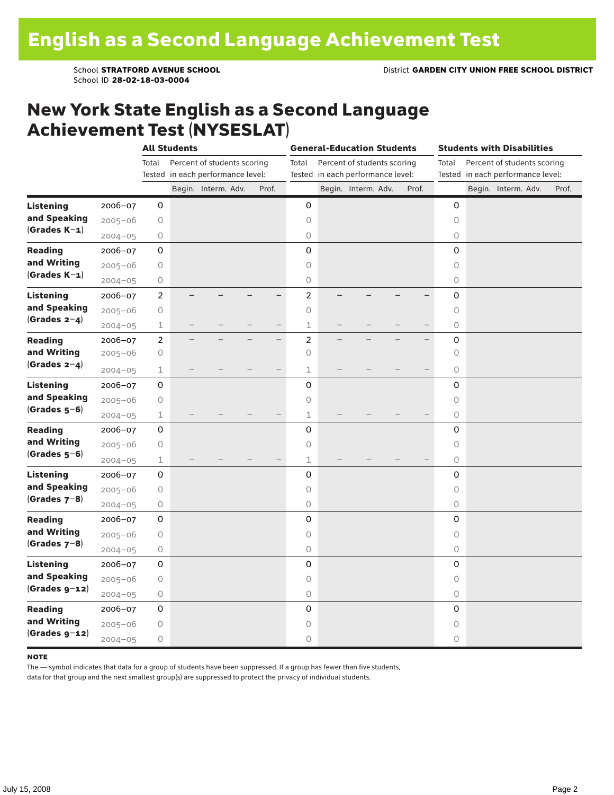School ID **28-02-18-03-0004**

### New York State English as a Second Language Achievement Test (NYSESLAT)

|                  |             | <b>All Students</b> |                                   |                             |  |       | <b>General-Education Students</b> |                                   |                             |  |       | <b>Students with Disabilities</b> |                                   |                             |  |       |  |
|------------------|-------------|---------------------|-----------------------------------|-----------------------------|--|-------|-----------------------------------|-----------------------------------|-----------------------------|--|-------|-----------------------------------|-----------------------------------|-----------------------------|--|-------|--|
|                  |             | Total               |                                   | Percent of students scoring |  |       | Total                             |                                   | Percent of students scoring |  |       | Total                             |                                   | Percent of students scoring |  |       |  |
|                  |             |                     | Tested in each performance level: |                             |  |       |                                   | Tested in each performance level: |                             |  |       |                                   | Tested in each performance level: |                             |  |       |  |
|                  |             |                     |                                   | Begin. Interm. Adv.         |  | Prof. |                                   |                                   | Begin. Interm. Adv.         |  | Prof. |                                   |                                   | Begin. Interm. Adv.         |  | Prof. |  |
| <b>Listening</b> | 2006-07     | 0                   |                                   |                             |  |       | 0                                 |                                   |                             |  |       | 0                                 |                                   |                             |  |       |  |
| and Speaking     | $2005 - 06$ | $\bigcirc$          |                                   |                             |  |       | $\circ$                           |                                   |                             |  |       | $\circ$                           |                                   |                             |  |       |  |
| $(Grades K-1)$   | $2004 - 05$ | $\bigcirc$          |                                   |                             |  |       | $\circlearrowright$               |                                   |                             |  |       | $\circlearrowright$               |                                   |                             |  |       |  |
| <b>Reading</b>   | 2006-07     | 0                   |                                   |                             |  |       | 0                                 |                                   |                             |  |       | $\mathbf 0$                       |                                   |                             |  |       |  |
| and Writing      | $2005 - 06$ | $\bigcirc$          |                                   |                             |  |       | $\circ$                           |                                   |                             |  |       | $\circ$                           |                                   |                             |  |       |  |
| $(Grades K-1)$   | $2004 - 05$ | 0                   |                                   |                             |  |       | $\circ$                           |                                   |                             |  |       | 0                                 |                                   |                             |  |       |  |
| <b>Listening</b> | 2006-07     | $\overline{c}$      |                                   |                             |  |       | $\overline{a}$                    |                                   |                             |  |       | $\mathsf 0$                       |                                   |                             |  |       |  |
| and Speaking     | $2005 - 06$ | $\bigcirc$          |                                   |                             |  |       | $\circ$                           |                                   |                             |  |       | 0                                 |                                   |                             |  |       |  |
| $(Grades 2-4)$   | $2004 - 05$ | 1                   |                                   |                             |  |       | $\mathbf 1$                       |                                   |                             |  |       | $\bigcirc$                        |                                   |                             |  |       |  |
| <b>Reading</b>   | 2006-07     | $\overline{2}$      |                                   |                             |  | -     | $\overline{c}$                    |                                   |                             |  |       | $\mathsf 0$                       |                                   |                             |  |       |  |
| and Writing      | $2005 - 06$ | 0                   |                                   |                             |  |       | $\circ$                           |                                   |                             |  |       | $\circ$                           |                                   |                             |  |       |  |
| (Grades $2-4$ )  | $2004 - 05$ | $\mathbf 1$         |                                   |                             |  |       | $\mathbf 1$                       |                                   |                             |  |       | $\circ$                           |                                   |                             |  |       |  |
| <b>Listening</b> | 2006-07     | 0                   |                                   |                             |  |       | 0                                 |                                   |                             |  |       | 0                                 |                                   |                             |  |       |  |
| and Speaking     | $2005 - 06$ | 0                   |                                   |                             |  |       | $\circ$                           |                                   |                             |  |       | $\circ$                           |                                   |                             |  |       |  |
| $(Grades 5-6)$   | $2004 - 05$ | 1                   |                                   |                             |  |       | 1                                 |                                   |                             |  |       | 0                                 |                                   |                             |  |       |  |
| <b>Reading</b>   | 2006-07     | 0                   |                                   |                             |  |       | 0                                 |                                   |                             |  |       | $\mathsf 0$                       |                                   |                             |  |       |  |
| and Writing      | $2005 - 06$ | $\bigcirc$          |                                   |                             |  |       | $\circ$                           |                                   |                             |  |       | $\circ$                           |                                   |                             |  |       |  |
| $(Grades 5-6)$   | $2004 - 05$ | $\mathbf 1$         |                                   |                             |  |       | $\mathbf 1$                       |                                   |                             |  |       | 0                                 |                                   |                             |  |       |  |
| <b>Listening</b> | 2006-07     | 0                   |                                   |                             |  |       | $\mathbf 0$                       |                                   |                             |  |       | $\mathbf 0$                       |                                   |                             |  |       |  |
| and Speaking     | $2005 - 06$ | 0                   |                                   |                             |  |       | $\circ$                           |                                   |                             |  |       | $\Omega$                          |                                   |                             |  |       |  |
| $(Grades 7-8)$   | $2004 - 05$ | 0                   |                                   |                             |  |       | $\circlearrowright$               |                                   |                             |  |       | 0                                 |                                   |                             |  |       |  |
| <b>Reading</b>   | 2006-07     | 0                   |                                   |                             |  |       | 0                                 |                                   |                             |  |       | 0                                 |                                   |                             |  |       |  |
| and Writing      | $2005 - 06$ | $\bigcirc$          |                                   |                             |  |       | $\circ$                           |                                   |                             |  |       | $\circ$                           |                                   |                             |  |       |  |
| $(Grades 7-8)$   | $2004 - 05$ | $\bigcirc$          |                                   |                             |  |       | $\mathsf O$                       |                                   |                             |  |       | 0                                 |                                   |                             |  |       |  |
| <b>Listening</b> | 2006-07     | 0                   |                                   |                             |  |       | 0                                 |                                   |                             |  |       | $\mathbf 0$                       |                                   |                             |  |       |  |
| and Speaking     | $2005 - 06$ | 0                   |                                   |                             |  |       | $\circ$                           |                                   |                             |  |       | $\circ$                           |                                   |                             |  |       |  |
| $(Grades g-12)$  | $2004 - 05$ | 0                   |                                   |                             |  |       | $\bigcirc$                        |                                   |                             |  |       | 0                                 |                                   |                             |  |       |  |
| <b>Reading</b>   | 2006-07     | 0                   |                                   |                             |  |       | 0                                 |                                   |                             |  |       | 0                                 |                                   |                             |  |       |  |
| and Writing      | $2005 - 06$ | $\mathsf O$         |                                   |                             |  |       | $\circ$                           |                                   |                             |  |       | $\circ$                           |                                   |                             |  |       |  |
| $(Grades g-12)$  | $2004 - 05$ | $\bigcirc$          |                                   |                             |  |       | 0                                 |                                   |                             |  |       | 0                                 |                                   |                             |  |       |  |

#### **NOTE**

The — symbol indicates that data for a group of students have been suppressed. If a group has fewer than five students,

data for that group and the next smallest group(s) are suppressed to protect the privacy of individual students.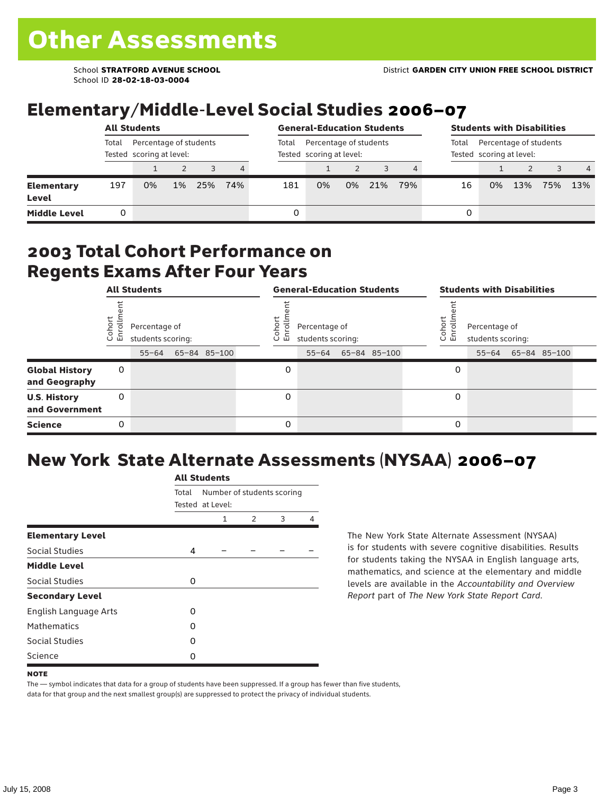School ID **28-02-18-03-0004**

# Elementary/Middle-Level Social Studies 2006–07

|                                   |                                                             | <b>All Students</b> |       | <b>General-Education Students</b> |     |       |                                                    |                                                             |     | <b>Students with Disabilities</b> |    |    |     |     |                |
|-----------------------------------|-------------------------------------------------------------|---------------------|-------|-----------------------------------|-----|-------|----------------------------------------------------|-------------------------------------------------------------|-----|-----------------------------------|----|----|-----|-----|----------------|
|                                   | Percentage of students<br>Total<br>Tested scoring at level: |                     |       |                                   |     | Total | Percentage of students<br>Tested scoring at level: | Percentage of students<br>Total<br>Tested scoring at level: |     |                                   |    |    |     |     |                |
|                                   |                                                             |                     |       |                                   | 4   |       |                                                    |                                                             |     |                                   |    |    |     |     | $\overline{4}$ |
| <b>Elementary</b><br><b>Level</b> | 197                                                         | 0%                  | $1\%$ | 25%                               | 74% | 181   | 0%                                                 | 0%                                                          | 21% | 79%                               | 16 | 0% | 13% | 75% | 13%            |
| <b>Middle Level</b>               |                                                             |                     |       |                                   |     | 0     |                                                    |                                                             |     |                                   | 0  |    |     |     |                |

### 2003 Total Cohort Performance on Regents Exams After Four Years

|                                        | <b>All Students</b> |                                                 |  |              |  | <b>General-Education Students</b> |                                                 |  |              |  |                       | <b>Students with Disabilities</b>  |  |                    |  |  |
|----------------------------------------|---------------------|-------------------------------------------------|--|--------------|--|-----------------------------------|-------------------------------------------------|--|--------------|--|-----------------------|------------------------------------|--|--------------------|--|--|
|                                        | Cohor<br>Enroll     | Percentage of<br>students scoring:<br>$55 - 64$ |  | 65-84 85-100 |  | Cohoi<br>ō.<br>ᇛ                  | Percentage of<br>students scoring:<br>$55 - 64$ |  | 65-84 85-100 |  | Cohor<br>$\circ$<br>멷 | Percentage of<br>students scoring: |  | 55-64 65-84 85-100 |  |  |
| <b>Global History</b><br>and Geography | 0                   |                                                 |  |              |  | 0                                 |                                                 |  |              |  | 0                     |                                    |  |                    |  |  |
| <b>U.S. History</b><br>and Government  | 0                   |                                                 |  |              |  | 0                                 |                                                 |  |              |  | 0                     |                                    |  |                    |  |  |
| <b>Science</b>                         | 0                   |                                                 |  |              |  | 0                                 |                                                 |  |              |  | 0                     |                                    |  |                    |  |  |

# New York State Alternate Assessments (NYSAA) 2006–07

|                         |       | AIL SLUUCIILS                                  |   |   |   |  |  |  |  |  |  |  |
|-------------------------|-------|------------------------------------------------|---|---|---|--|--|--|--|--|--|--|
|                         | Total | Number of students scoring<br>Tested at Level: |   |   |   |  |  |  |  |  |  |  |
|                         |       | 1                                              | 2 | 3 | 4 |  |  |  |  |  |  |  |
| <b>Elementary Level</b> |       |                                                |   |   |   |  |  |  |  |  |  |  |
| Social Studies          | 4     |                                                |   |   |   |  |  |  |  |  |  |  |
| <b>Middle Level</b>     |       |                                                |   |   |   |  |  |  |  |  |  |  |
| Social Studies          | 0     |                                                |   |   |   |  |  |  |  |  |  |  |
| <b>Secondary Level</b>  |       |                                                |   |   |   |  |  |  |  |  |  |  |
| English Language Arts   | O     |                                                |   |   |   |  |  |  |  |  |  |  |
| <b>Mathematics</b>      | O     |                                                |   |   |   |  |  |  |  |  |  |  |
| <b>Social Studies</b>   | O     |                                                |   |   |   |  |  |  |  |  |  |  |
| Science                 | Ω     |                                                |   |   |   |  |  |  |  |  |  |  |

All C<sub>tude</sub>

The New York State Alternate Assessment (NYSAA) is for students with severe cognitive disabilities. Results for students taking the NYSAA in English language arts, mathematics, and science at the elementary and middle levels are available in the *Accountability and Overview Report* part of *The New York State Report Card*.

The — symbol indicates that data for a group of students have been suppressed. If a group has fewer than five students, data for that group and the next smallest group(s) are suppressed to protect the privacy of individual students.

**NOTE**